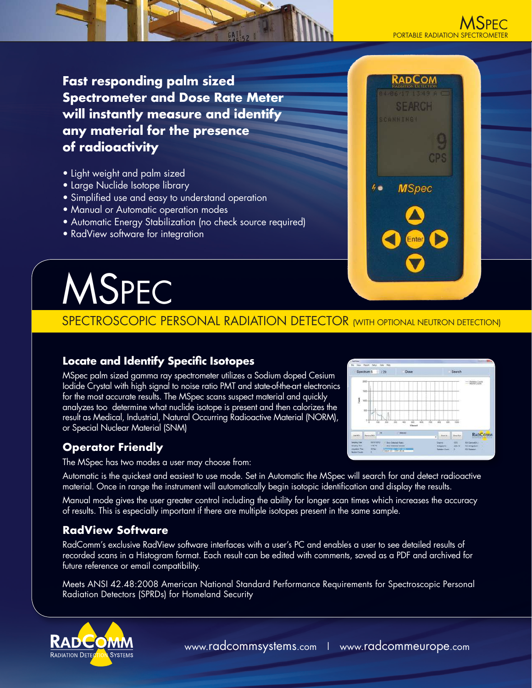

RADCOM

**MSpec** 

 $\frac{1}{2}$ 

**Fast responding palm sized Spectrometer and Dose Rate Meter will instantly measure and identify any material for the presence of radioactivity**

- Light weight and palm sized
- Large Nuclide Isotope library
- **•** Simplified use and easy to understand operation
- Manual or Automatic operation modes
- Automatic Energy Stabilization (no check source required)
- RadView software for integration

# MSPEC

# SPECTROSCOPIC PERSONAL RADIATION DETECTOR (WITH OPTIONAL NEUTRON DETECTION)

# **Locate and Identify Specific Isotopes**

MSpec palm sized gamma ray spectrometer utilizes a Sodium doped Cesium Iodide Crystal with high signal to noise ratio PMT and state-of-the-art electronics for the most accurate results. The MSpec scans suspect material and quickly analyzes too determine what nuclide isotope is present and then calorizes the result as Medical, Industrial, Natural Occurring Radioactive Material (NORM), or Special Nuclear Material (SNM)



The MSpec has two modes a user may choose from:

Automatic is the quickest and easiest to use mode. Set in Automatic the MSpec will search for and detect radioactive material. Once in range the instrument will automatically begin isotopic identification and display the results.

Manual mode gives the user greater control including the ability for longer scan times which increases the accuracy of results. This is especially important if there are multiple isotopes present in the same sample.

# **RadView Software**

RadComm's exclusive RadView software interfaces with a user's PC and enables a user to see detailed results of recorded scans in a Histogram format. Each result can be edited with comments, saved as a PDF and archived for future reference or email compatibility.

Meets ANSI 42.48:2008 American National Standard Performance Requirements for Spectroscopic Personal Radiation Detectors (SPRDs) for Homeland Security